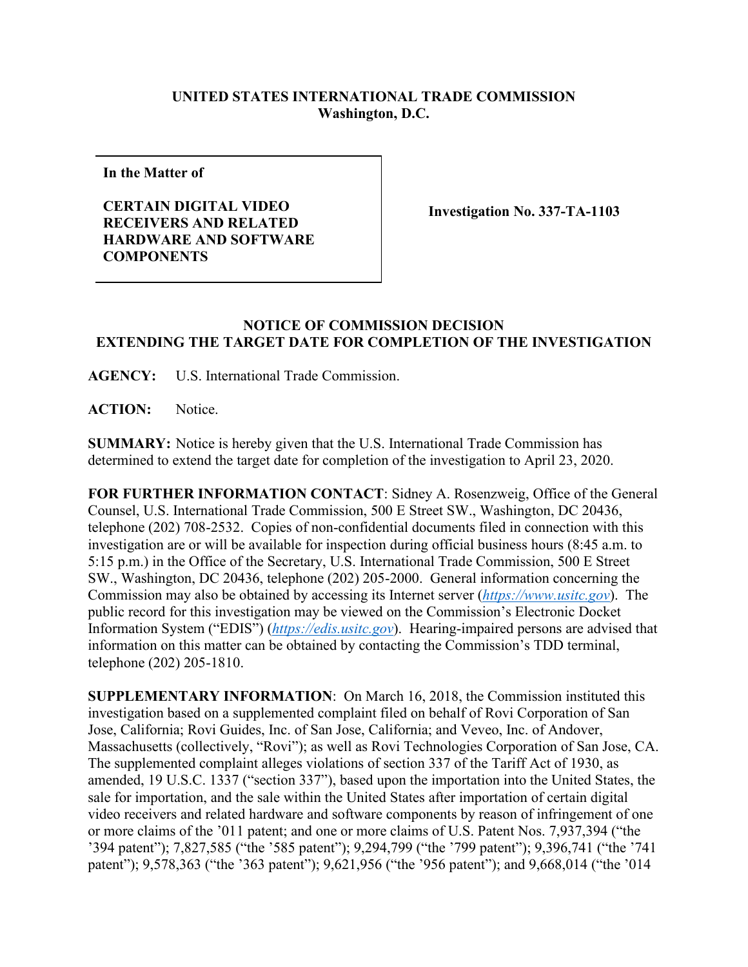## **UNITED STATES INTERNATIONAL TRADE COMMISSION Washington, D.C.**

**In the Matter of**

**CERTAIN DIGITAL VIDEO RECEIVERS AND RELATED HARDWARE AND SOFTWARE COMPONENTS**

**Investigation No. 337-TA-1103**

## **NOTICE OF COMMISSION DECISION EXTENDING THE TARGET DATE FOR COMPLETION OF THE INVESTIGATION**

**AGENCY:** U.S. International Trade Commission.

ACTION: Notice.

**SUMMARY:** Notice is hereby given that the U.S. International Trade Commission has determined to extend the target date for completion of the investigation to April 23, 2020.

**FOR FURTHER INFORMATION CONTACT**: Sidney A. Rosenzweig, Office of the General Counsel, U.S. International Trade Commission, 500 E Street SW., Washington, DC 20436, telephone (202) 708-2532. Copies of non-confidential documents filed in connection with this investigation are or will be available for inspection during official business hours (8:45 a.m. to 5:15 p.m.) in the Office of the Secretary, U.S. International Trade Commission, 500 E Street SW., Washington, DC 20436, telephone (202) 205-2000. General information concerning the Commission may also be obtained by accessing its Internet server (*[https://www.usitc.gov](https://www.usitc.gov/)*). The public record for this investigation may be viewed on the Commission's Electronic Docket Information System ("EDIS") (*[https://edis.usitc.gov](https://edis.usitc.gov/)*). Hearing-impaired persons are advised that information on this matter can be obtained by contacting the Commission's TDD terminal, telephone (202) 205-1810.

**SUPPLEMENTARY INFORMATION**: On March 16, 2018, the Commission instituted this investigation based on a supplemented complaint filed on behalf of Rovi Corporation of San Jose, California; Rovi Guides, Inc. of San Jose, California; and Veveo, Inc. of Andover, Massachusetts (collectively, "Rovi"); as well as Rovi Technologies Corporation of San Jose, CA. The supplemented complaint alleges violations of section 337 of the Tariff Act of 1930, as amended, 19 U.S.C. 1337 ("section 337"), based upon the importation into the United States, the sale for importation, and the sale within the United States after importation of certain digital video receivers and related hardware and software components by reason of infringement of one or more claims of the '011 patent; and one or more claims of U.S. Patent Nos. 7,937,394 ("the '394 patent"); 7,827,585 ("the '585 patent"); 9,294,799 ("the '799 patent"); 9,396,741 ("the '741 patent"); 9,578,363 ("the '363 patent"); 9,621,956 ("the '956 patent"); and 9,668,014 ("the '014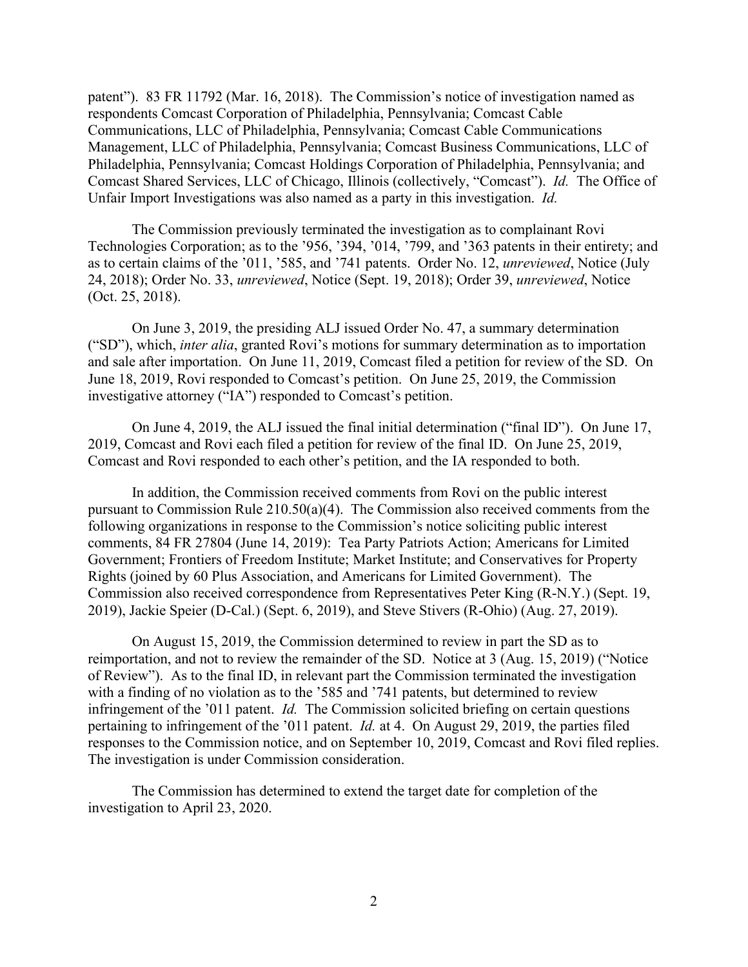patent"). 83 FR 11792 (Mar. 16, 2018). The Commission's notice of investigation named as respondents Comcast Corporation of Philadelphia, Pennsylvania; Comcast Cable Communications, LLC of Philadelphia, Pennsylvania; Comcast Cable Communications Management, LLC of Philadelphia, Pennsylvania; Comcast Business Communications, LLC of Philadelphia, Pennsylvania; Comcast Holdings Corporation of Philadelphia, Pennsylvania; and Comcast Shared Services, LLC of Chicago, Illinois (collectively, "Comcast"). *Id.* The Office of Unfair Import Investigations was also named as a party in this investigation. *Id.*

The Commission previously terminated the investigation as to complainant Rovi Technologies Corporation; as to the '956, '394, '014, '799, and '363 patents in their entirety; and as to certain claims of the '011, '585, and '741 patents. Order No. 12, *unreviewed*, Notice (July 24, 2018); Order No. 33, *unreviewed*, Notice (Sept. 19, 2018); Order 39, *unreviewed*, Notice (Oct. 25, 2018).

On June 3, 2019, the presiding ALJ issued Order No. 47, a summary determination ("SD"), which, *inter alia*, granted Rovi's motions for summary determination as to importation and sale after importation. On June 11, 2019, Comcast filed a petition for review of the SD. On June 18, 2019, Rovi responded to Comcast's petition. On June 25, 2019, the Commission investigative attorney ("IA") responded to Comcast's petition.

On June 4, 2019, the ALJ issued the final initial determination ("final ID"). On June 17, 2019, Comcast and Rovi each filed a petition for review of the final ID. On June 25, 2019, Comcast and Rovi responded to each other's petition, and the IA responded to both.

In addition, the Commission received comments from Rovi on the public interest pursuant to Commission Rule 210.50(a)(4). The Commission also received comments from the following organizations in response to the Commission's notice soliciting public interest comments, 84 FR 27804 (June 14, 2019): Tea Party Patriots Action; Americans for Limited Government; Frontiers of Freedom Institute; Market Institute; and Conservatives for Property Rights (joined by 60 Plus Association, and Americans for Limited Government). The Commission also received correspondence from Representatives Peter King (R-N.Y.) (Sept. 19, 2019), Jackie Speier (D-Cal.) (Sept. 6, 2019), and Steve Stivers (R-Ohio) (Aug. 27, 2019).

On August 15, 2019, the Commission determined to review in part the SD as to reimportation, and not to review the remainder of the SD. Notice at 3 (Aug. 15, 2019) ("Notice of Review"). As to the final ID, in relevant part the Commission terminated the investigation with a finding of no violation as to the '585 and '741 patents, but determined to review infringement of the '011 patent. *Id.* The Commission solicited briefing on certain questions pertaining to infringement of the '011 patent. *Id.* at 4. On August 29, 2019, the parties filed responses to the Commission notice, and on September 10, 2019, Comcast and Rovi filed replies. The investigation is under Commission consideration.

The Commission has determined to extend the target date for completion of the investigation to April 23, 2020.